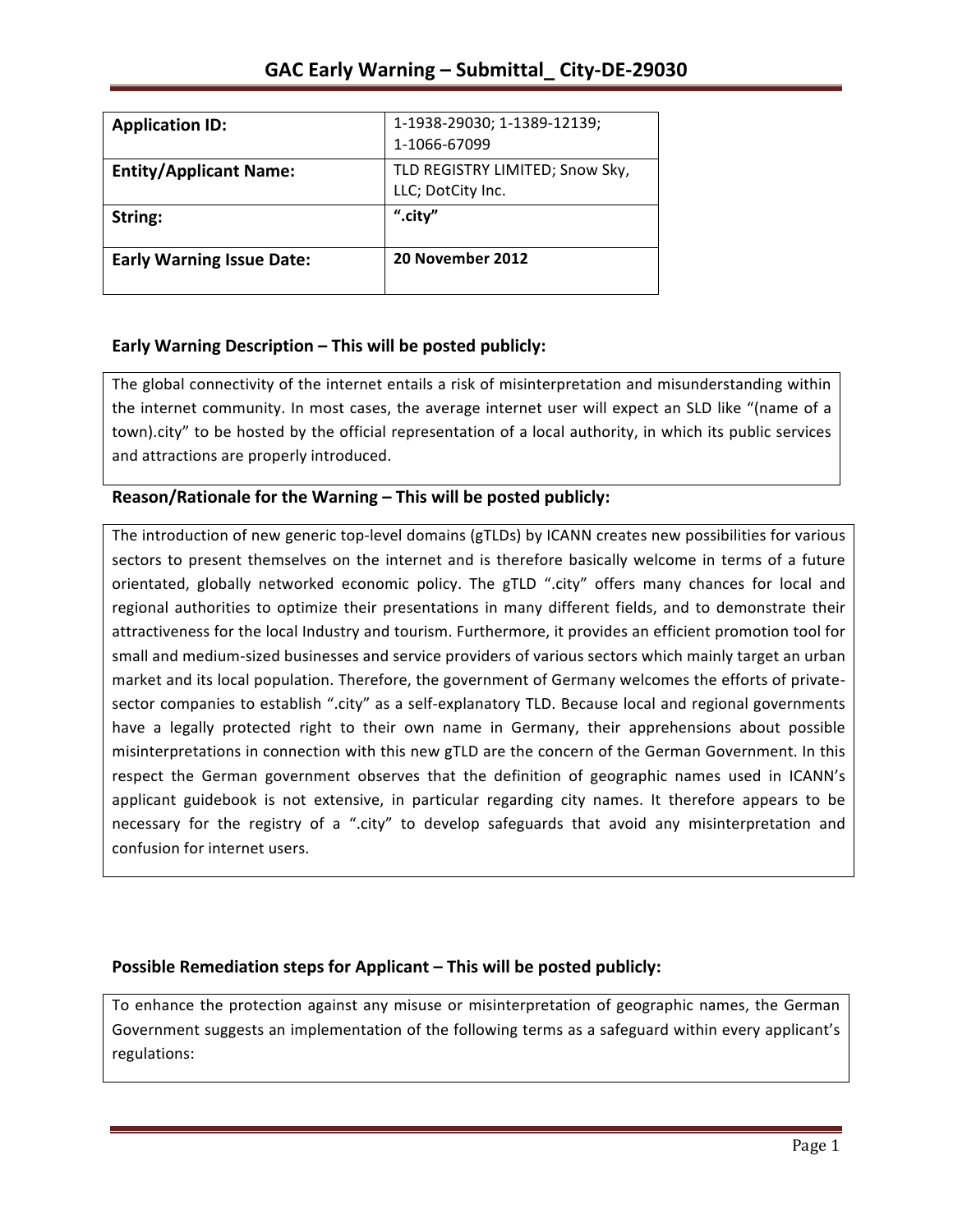| <b>Application ID:</b>           | 1-1938-29030; 1-1389-12139;     |
|----------------------------------|---------------------------------|
|                                  | 1-1066-67099                    |
| <b>Entity/Applicant Name:</b>    | TLD REGISTRY LIMITED; Snow Sky, |
|                                  | LLC; DotCity Inc.               |
| String:                          | ".city"                         |
| <b>Early Warning Issue Date:</b> | 20 November 2012                |

## **Early Warning Description – This will be posted publicly:**

The global connectivity of the internet entails a risk of misinterpretation and misunderstanding within the internet community. In most cases, the average internet user will expect an SLD like "(name of a town).city" to be hosted by the official representation of a local authority, in which its public services and attractions are properly introduced.

## **Reason/Rationale for the Warning – This will be posted publicly:**

The introduction of new generic top-level domains (gTLDs) by ICANN creates new possibilities for various sectors to present themselves on the internet and is therefore basically welcome in terms of a future orientated, globally networked economic policy. The gTLD ".city" offers many chances for local and regional authorities to optimize their presentations in many different fields, and to demonstrate their attractiveness for the local Industry and tourism. Furthermore, it provides an efficient promotion tool for small and medium-sized businesses and service providers of various sectors which mainly target an urban market and its local population. Therefore, the government of Germany welcomes the efforts of privatesector companies to establish ".city" as a self-explanatory TLD. Because local and regional governments have a legally protected right to their own name in Germany, their apprehensions about possible misinterpretations in connection with this new gTLD are the concern of the German Government. In this respect the German government observes that the definition of geographic names used in ICANN's applicant guidebook is not extensive, in particular regarding city names. It therefore appears to be necessary for the registry of a ".city" to develop safeguards that avoid any misinterpretation and confusion for internet users.

## **Possible Remediation steps for Applicant – This will be posted publicly:**

To enhance the protection against any misuse or misinterpretation of geographic names, the German Government suggests an implementation of the following terms as a safeguard within every applicant's regulations: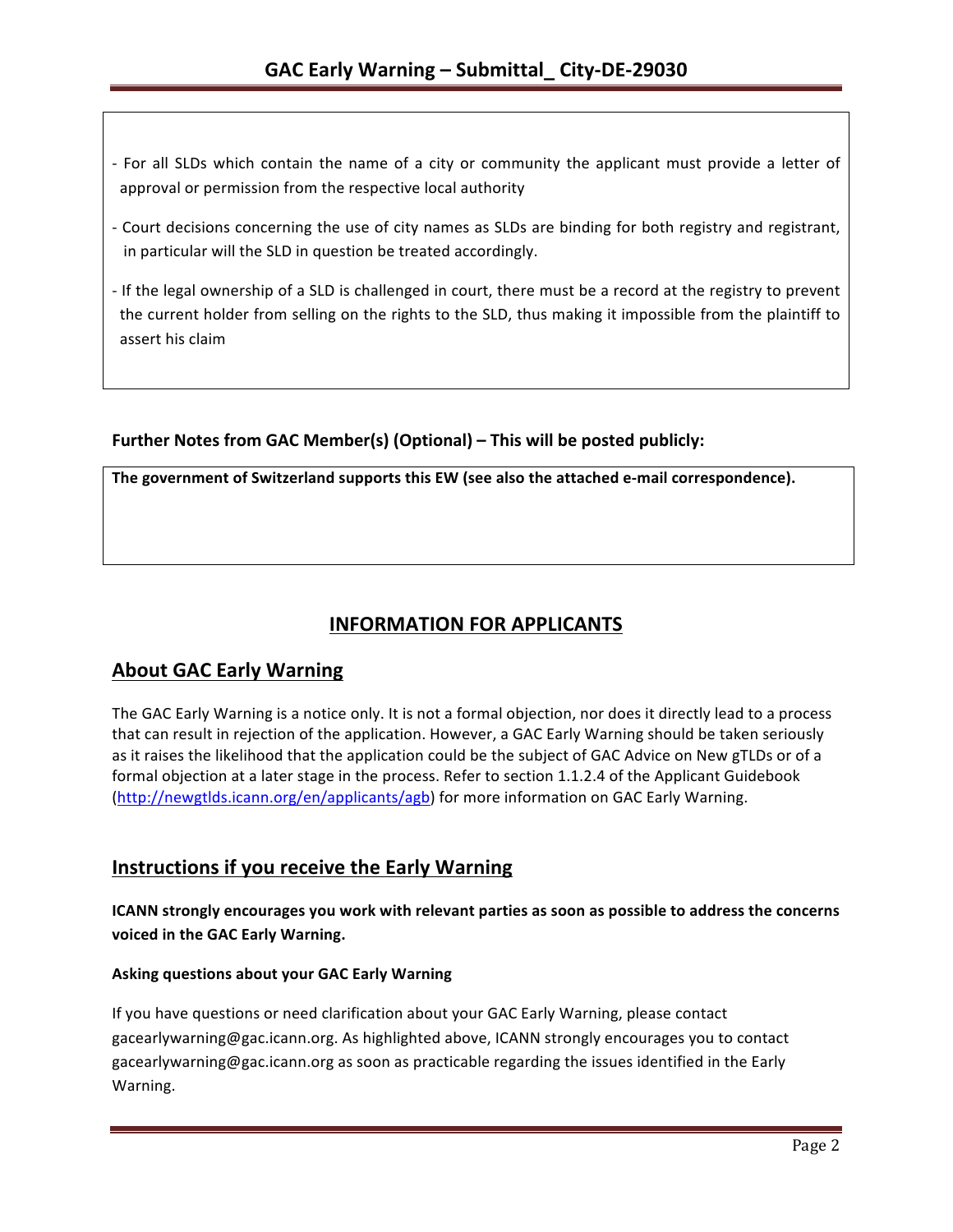- For all SLDs which contain the name of a city or community the applicant must provide a letter of approval or permission from the respective local authority
- Court decisions concerning the use of city names as SLDs are binding for both registry and registrant, in particular will the SLD in question be treated accordingly.
- If the legal ownership of a SLD is challenged in court, there must be a record at the registry to prevent the current holder from selling on the rights to the SLD, thus making it impossible from the plaintiff to assert his claim

## Further Notes from GAC Member(s) (Optional) – This will be posted publicly:

The government of Switzerland supports this EW (see also the attached e-mail correspondence).

# **INFORMATION FOR APPLICANTS**

## **About GAC Early Warning**

The GAC Early Warning is a notice only. It is not a formal objection, nor does it directly lead to a process that can result in rejection of the application. However, a GAC Early Warning should be taken seriously as it raises the likelihood that the application could be the subject of GAC Advice on New gTLDs or of a formal objection at a later stage in the process. Refer to section 1.1.2.4 of the Applicant Guidebook (http://newgtlds.icann.org/en/applicants/agb) for more information on GAC Early Warning.

## **Instructions if you receive the Early Warning**

**ICANN** strongly encourages you work with relevant parties as soon as possible to address the concerns voiced in the GAC Early Warning.

## **Asking questions about your GAC Early Warning**

If you have questions or need clarification about your GAC Early Warning, please contact gacearlywarning@gac.icann.org. As highlighted above, ICANN strongly encourages you to contact gacearlywarning@gac.icann.org as soon as practicable regarding the issues identified in the Early Warning.